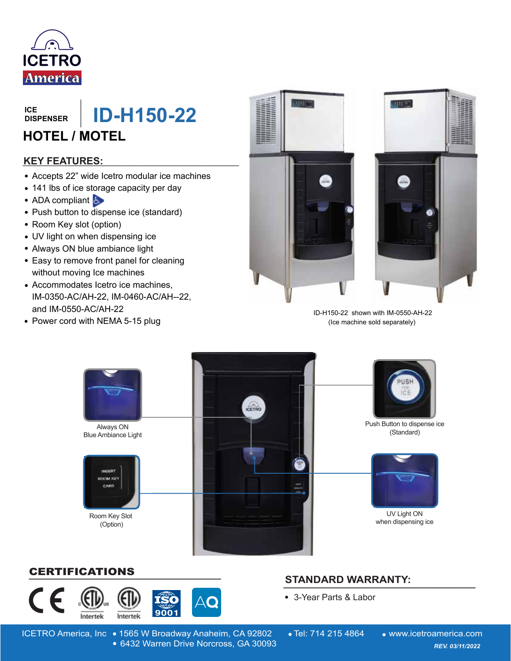

**DISPENSER**

**\_\_\_\_\_\_\_ ID-H150-22** 

## **HOTEL / MOTEL**

#### **\_\_\_\_\_\_\_\_\_\_\_\_\_\_\_\_\_\_\_\_\_\_\_\_\_\_\_\_\_\_ KEY FEATURES:**

- Accepts 22" wide Icetro modular ice machines
- 141 lbs of ice storage capacity per day
- ADA compliant
- Push button to dispense ice (standard)
- Room Key slot (option)
- UV light on when dispensing ice
- Always ON blue ambiance light
- Easy to remove front panel for cleaning without moving Ice machines
- Accommodates Icetro ice machines, IM-0350-AC/AH-22, IM-0460-AC/AH--22, and IM-0550-AC/AH-22
- Power cord with NEMA 5-15 plug





 ID-H150-22 shown with IM-0550-AH-22 (Ice machine sold separately)



### **\_\_\_\_\_\_\_\_\_\_\_\_\_\_\_\_\_\_\_\_\_\_\_\_\_\_\_\_\_\_\_\_\_\_\_\_\_\_\_\_** CERTIFICATIONS



## **STANDARD WARRANTY: \_\_\_\_\_\_\_\_\_\_\_\_\_\_\_\_\_\_\_\_\_\_\_\_\_\_\_\_\_\_\_\_\_\_\_\_\_\_\_\_**

3-Year Parts & Labor

ICETRO America, Inc • 1565 W Broadway Anaheim, CA 92802 • Tel: 714 215 4864 • www.icetroamerica.com 6432 Warren Drive Norcross, GA 30093 *REV. 01/01/2022* 6432 Warren Drive Norcross, GA 30093 *REV. 03/11/2022*